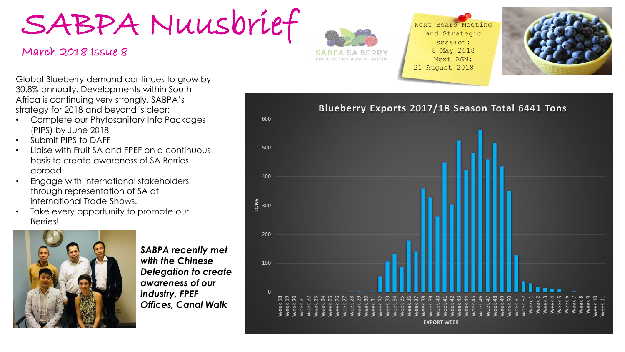SABPA Nuusbrief

## March 2018 Issue 8



Next Board Meeting and Strategic session: 8 May 2018 Next AGM: 21 August 2018



Global Blueberry demand continues to grow by 30.8% annually. Developments within South Africa is continuing very strongly. SABPA's strategy for 2018 and beyond is clear:

- Complete our Phytosanitary Info Packages (PIPS) by June 2018
- Submit PIPS to DAFF
- Liaise with Fruit SA and FPEF on a continuous basis to create awareness of SA Berries abroad.
- Engage with international stakeholders through representation of SA at international Trade Shows.
- Take every opportunity to promote our Berries!



*SABPA recently met with the Chinese Delegation to create awareness of our industry, FPEF Offices, Canal Walk*

**Blueberry Exports 2017/18 Season Total 6441 Tons**